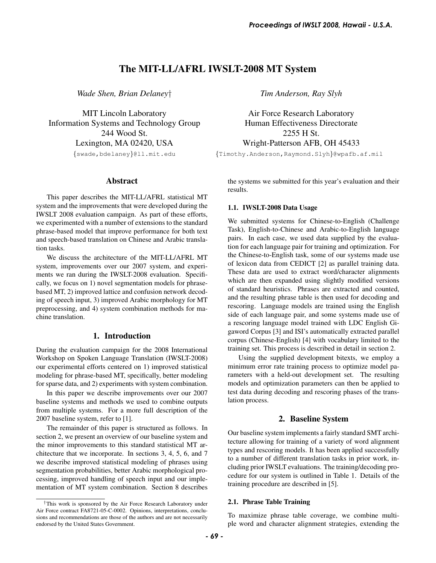# The MIT-LL/AFRL IWSLT-2008 MT System

*Wade Shen, Brian Delaney*†

MIT Lincoln Laboratory Information Systems and Technology Group 244 Wood St. Lexington, MA 02420, USA {swade,bdelaney}@ll.mit.edu

## Abstract

This paper describes the MIT-LL/AFRL statistical MT system and the improvements that were developed during the IWSLT 2008 evaluation campaign. As part of these efforts, we experimented with a number of extensions to the standard phrase-based model that improve performance for both text and speech-based translation on Chinese and Arabic translation tasks.

We discuss the architecture of the MIT-LL/AFRL MT system, improvements over our 2007 system, and experiments we ran during the IWSLT-2008 evaluation. Specifically, we focus on 1) novel segmentation models for phrasebased MT, 2) improved lattice and confusion network decoding of speech input, 3) improved Arabic morphology for MT preprocessing, and 4) system combination methods for machine translation.

## 1. Introduction

During the evaluation campaign for the 2008 International Workshop on Spoken Language Translation (IWSLT-2008) our experimental efforts centered on 1) improved statistical modeling for phrase-based MT, specifically, better modeling for sparse data, and 2) experiments with system combination.

In this paper we describe improvements over our 2007 baseline systems and methods we used to combine outputs from multiple systems. For a more full description of the 2007 baseline system, refer to [1].

The remainder of this paper is structured as follows. In section 2, we present an overview of our baseline system and the minor improvements to this standard statistical MT architecture that we incorporate. In sections 3, 4, 5, 6, and 7 we describe improved statistical modeling of phrases using segmentation probabilities, better Arabic morphological processing, improved handling of speech input and our implementation of MT system combination. Section 8 describes *Tim Anderson, Ray Slyh*

Air Force Research Laboratory Human Effectiveness Directorate 2255 H St. Wright-Patterson AFB, OH 45433

{Timothy.Anderson,Raymond.Slyh}@wpafb.af.mil

the systems we submitted for this year's evaluation and their results.

## 1.1. IWSLT-2008 Data Usage

We submitted systems for Chinese-to-English (Challenge Task), English-to-Chinese and Arabic-to-English language pairs. In each case, we used data supplied by the evaluation for each language pair for training and optimization. For the Chinese-to-English task, some of our systems made use of lexicon data from CEDICT [2] as parallel training data. These data are used to extract word/character alignments which are then expanded using slightly modified versions of standard heuristics. Phrases are extracted and counted, and the resulting phrase table is then used for decoding and rescoring. Language models are trained using the English side of each language pair, and some systems made use of a rescoring language model trained with LDC English Gigaword Corpus [3] and ISI's automatically extracted parallel corpus (Chinese-English) [4] with vocabulary limited to the training set. This process is described in detail in section 2. *Froceedings of IWSLT 2008, Hawaii* - U.S.A.<br> **IVNSLT-2008 MT System**<br> *Tim Anderson, Ray Slyh*<br> *Air* Force Research Laboratory<br>
Human Effectiveness Directorate<br> **Experiments** EDEE (111)  $\frac{1}{2}$  and  $\frac{1}{2}$  and  $\frac{1}{$ 

Using the supplied development bitexts, we employ a minimum error rate training process to optimize model parameters with a held-out development set. The resulting models and optimization parameters can then be applied to test data during decoding and rescoring phases of the translation process.

## 2. Baseline System

Our baseline system implements a fairly standard SMT architecture allowing for training of a variety of word alignment types and rescoring models. It has been applied successfully to a number of different translation tasks in prior work, including prior IWSLT evaluations. The training/decoding procedure for our system is outlined in Table 1. Details of the training procedure are described in [5].

#### 2.1. Phrase Table Training

To maximize phrase table coverage, we combine multiple word and character alignment strategies, extending the

<sup>†</sup>This work is sponsored by the Air Force Research Laboratory under Air Force contract FA8721-05-C-0002. Opinions, interpretations, conclusions and recommendations are those of the authors and are not necessarily endorsed by the United States Government.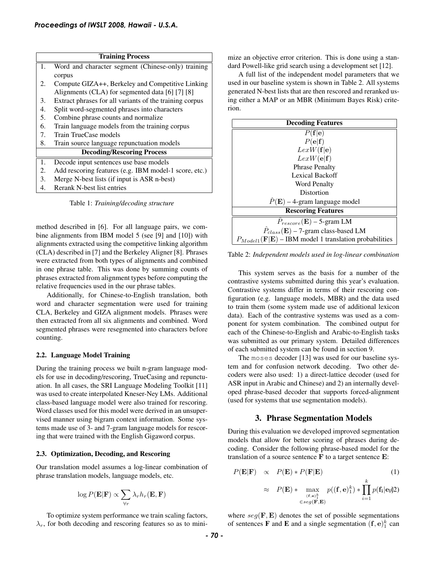|    | <b>Training Process</b>                                                                        |
|----|------------------------------------------------------------------------------------------------|
| 1. | Word and character segment (Chinese-only) training                                             |
|    | corpus                                                                                         |
| 2. | Compute GIZA++, Berkeley and Competitive Linking                                               |
|    | Alignments (CLA) for segmented data [6] [7] [8]                                                |
| 3. | Extract phrases for all variants of the training corpus                                        |
| 4. | Split word-segmented phrases into characters                                                   |
| 5. | Combine phrase counts and normalize                                                            |
| 6. | Train language models from the training corpus                                                 |
| 7. | Train TrueCase models                                                                          |
| 8. | Train source language repunctuation models                                                     |
|    | <b>Decoding/Rescoring Process</b>                                                              |
| 1. | Decode input sentences use base models                                                         |
| 2. | Add rescoring features (e.g. IBM model-1 score, etc.)                                          |
| 3. | Merge N-best lists (if input is ASR n-best)                                                    |
| 4. | Rerank N-best list entries                                                                     |
|    | Table 1: Training/decoding structure                                                           |
|    |                                                                                                |
|    | method described in [6]. For all language pairs, we com-                                       |
|    | bine alignments from IBM model 5 (see [9] and [10]) with                                       |
|    | alignments extracted using the competitive linking algorithm                                   |
|    | (CLA) described in [7] and the Berkeley Aligner [8]. Phrases                                   |
|    | were extracted from both types of alignments and combined                                      |
|    | in one phrase table. This was done by summing counts of                                        |
|    | phrases extracted from alignment types before computing the                                    |
|    | relative frequencies used in the our phrase tables.                                            |
|    | Additionally, for Chinese-to-English translation, both                                         |
|    | word and character segmentation were used for training                                         |
|    | CLA, Berkeley and GIZA alignment models. Phrases were                                          |
|    | then extracted from all six alignments and combined. Word                                      |
|    | segmented phrases were resegmented into characters before<br>counting.                         |
|    |                                                                                                |
|    | 2.2. Language Model Training                                                                   |
|    | During the training process we built n-gram language mod-                                      |
|    | els for use in decoding/rescoring, TrueCasing and repunctu-                                    |
|    | ation. In all cases, the SRI Language Modeling Toolkit [11]                                    |
|    | was used to create interpolated Kneser-Ney LMs. Additional                                     |
|    | class-based language model were also trained for rescoring.                                    |
|    | Word classes used for this model were derived in an unsuper-                                   |
|    | vised manner using bigram context information. Some sys-                                       |
|    | tems made use of 3- and 7-gram language models for rescor-                                     |
|    | ing that were trained with the English Gigaword corpus.                                        |
|    | 2.3. Optimization, Decoding, and Rescoring                                                     |
|    | Our translation model assumes a log-linear combination of                                      |
|    | phrase translation models, language models, etc.                                               |
|    |                                                                                                |
|    | $\log P(\mathbf{E} \mathbf{F}) \propto \sum_{\forall r} \lambda_r h_r(\mathbf{E}, \mathbf{F})$ |
|    | To optimize system performance we train scaling factors,                                       |
|    | $\lambda_r$ , for both decoding and rescoring features so as to mini-                          |
|    |                                                                                                |
|    | - 70 -                                                                                         |

Table 1: *Training/decoding structure*

#### 2.2. Language Model Training

#### 2.3. Optimization, Decoding, and Rescoring

$$
\log P(\mathbf{E}|\mathbf{F}) \propto \sum_{\forall r} \lambda_r h_r(\mathbf{E}, \mathbf{F})
$$

mize an objective error criterion. This is done using a standard Powell-like grid search using a development set [12].

A full list of the independent model parameters that we used in our baseline system is shown in Table 2. All systems generated N-best lists that are then rescored and reranked using either a MAP or an MBR (Minimum Bayes Risk) criterion.

| <b>Decoding Features</b>                                                    |
|-----------------------------------------------------------------------------|
| P(f e)                                                                      |
| $P(\mathbf{e} \mathbf{f})$                                                  |
| LexW(f e)                                                                   |
| LexW(e f)                                                                   |
| <b>Phrase Penalty</b>                                                       |
| Lexical Backoff                                                             |
| <b>Word Penalty</b>                                                         |
| Distortion                                                                  |
| $P(E)$ – 4-gram language model                                              |
| <b>Rescoring Features</b>                                                   |
| $P_{rescore}(\mathbf{E})$ – 5-gram LM                                       |
| $P_{class}(\mathbf{E})$ – 7-gram class-based LM                             |
| $P_{Model1}(\mathbf{F} \mathbf{E})$ – IBM model 1 translation probabilities |

Table 2: *Independent models used in log-linear combination*

This system serves as the basis for a number of the contrastive systems submitted during this year's evaluation. Contrastive systems differ in terms of their rescoring configuration (e.g. language models, MBR) and the data used to train them (some system made use of additional lexicon data). Each of the contrastive systems was used as a component for system combination. The combined output for each of the Chinese-to-English and Arabic-to-English tasks was submitted as our primary system. Detailed differences of each submitted system can be found in section 9.

The moses decoder [13] was used for our baseline system and for confusion network decoding. Two other decoders were also used: 1) a direct-lattice decoder (used for ASR input in Arabic and Chinese) and 2) an internally developed phrase-based decoder that supports forced-alignment (used for systems that use segmentation models).

### 3. Phrase Segmentation Models

During this evaluation we developed improved segmentation models that allow for better scoring of phrases during decoding. Consider the following phrase-based model for the translation of a source sentence  $\bf{F}$  to a target sentence  $\bf{E}$ :

$$
P(\mathbf{E}|\mathbf{F}) \propto P(\mathbf{E}) * P(\mathbf{F}|\mathbf{E})
$$
(1)  

$$
\approx P(\mathbf{E}) * \max_{\substack{(\mathbf{f}, \mathbf{e})_1^k \\ \in \text{seg}(\mathbf{F}, \mathbf{E})}} p((\mathbf{f}, \mathbf{e})_1^k) * \prod_{i=1}^k p(\mathbf{f}_i|\mathbf{e}_i)
$$
(2)

where  $seg(\mathbf{F}, \mathbf{E})$  denotes the set of possible segmentations of sentences **F** and **E** and a single segmentation  $(f, e)_1^k$  can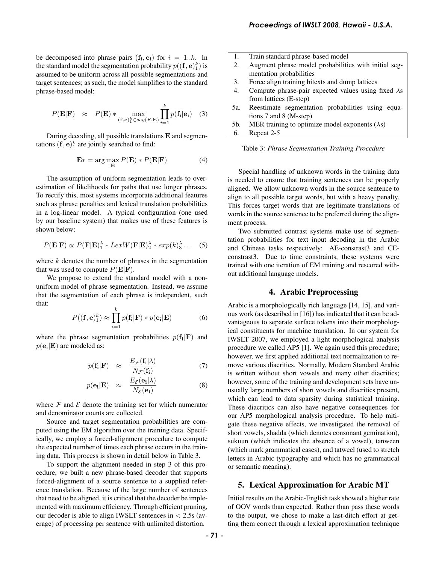be decomposed into phrase pairs  $(f_i, e_i)$  for  $i = 1..k$ . In the standard model the segmentation probability  $p((\mathbf{f},\mathbf{e})_1^k)$  is assumed to be uniform across all possible segmentations and target sentences; as such, the model simplifies to the standard phrase-based model:

$$
P(\mathbf{E}|\mathbf{F}) \approx P(\mathbf{E}) * \max_{(\mathbf{f},\mathbf{e})_1^k \in seg(\mathbf{F}, \mathbf{E})} \prod_{i=1}^k p(\mathbf{f_i}|\mathbf{e_i}) \quad (3)
$$

During decoding, all possible translations E and segmentations  $(f, e)_1^k$  are jointly searched to find:

$$
\mathbf{E} * = \arg\max_{\mathbf{E}} P(\mathbf{E}) * P(\mathbf{E}|\mathbf{F})
$$
 (4)

The assumption of uniform segmentation leads to overestimation of likelihoods for paths that use longer phrases. To rectify this, most systems incorporate additional features such as phrase penalties and lexical translation probabilities in a log-linear model. A typical configuration (one used by our baseline system) that makes use of these features is shown below:

$$
P(\mathbf{E}|\mathbf{F}) \propto P(\mathbf{F}|\mathbf{E})_1^{\lambda} * LexW(\mathbf{F}|\mathbf{E})_2^{\lambda} * exp(k)_3^{\lambda} \dots (5)
$$

where  $k$  denotes the number of phrases in the segmentation that was used to compute  $P(\mathbf{E}|\mathbf{F})$ .

We propose to extend the standard model with a nonuniform model of phrase segmentation. Instead, we assume that the segmentation of each phrase is independent, such that:

$$
P((\mathbf{f}, \mathbf{e})_1^k) \approx \prod_{i=1}^k p(\mathbf{f_i}|\mathbf{F}) * p(\mathbf{e_i}|\mathbf{E})
$$
 (6)

where the phrase segmentation probabilities  $p(f_i|F)$  and  $p(\mathbf{e_i}|\mathbf{E})$  are modeled as:

$$
p(\mathbf{f_i}|\mathbf{F}) \approx \frac{E_{\mathcal{F}}(\mathbf{f_i}|\lambda)}{N_{\mathcal{F}}(\mathbf{f_i})}
$$
(7)

$$
p(\mathbf{e_i}|\mathbf{E}) \approx \frac{E_{\mathcal{E}}(\mathbf{e_i}|\lambda)}{N_{\mathcal{E}}(\mathbf{e_i})}
$$
(8)

where  $\mathcal F$  and  $\mathcal E$  denote the training set for which numerator and denominator counts are collected.

Source and target segmentation probabilities are computed using the EM algorithm over the training data. Specifically, we employ a forced-alignment procedure to compute the expected number of times each phrase occurs in the training data. This process is shown in detail below in Table 3.

To support the alignment needed in step 3 of this procedure, we built a new phrase-based decoder that supports forced-alignment of a source sentence to a supplied reference translation. Because of the large number of sentences that need to be aligned, it is critical that the decoder be implemented with maximum efficiency. Through efficient pruning, our decoder is able to align IWSLT sentences in  $\lt$  2.5s (average) of processing per sentence with unlimited distortion.

| 1.  | Train standard phrase-based model                           |
|-----|-------------------------------------------------------------|
| 2.  | Augment phrase model probabilities with initial seg-        |
|     | mentation probabilities                                     |
| 3.  | Force align training bitexts and dump lattices              |
| 4.  | Compute phrase-pair expected values using fixed $\lambda$ s |
|     | from lattices (E-step)                                      |
| 5а. | Reestimate segmentation probabilities using equa-           |
|     | tions $7$ and $8$ (M-step)                                  |
| 5b. | MER training to optimize model exponents $(\lambda s)$      |
| 6.  | Repeat 2-5                                                  |

Table 3: *Phrase Segmentation Training Procedure*

Special handling of unknown words in the training data is needed to ensure that training sentences can be properly aligned. We allow unknown words in the source sentence to align to all possible target words, but with a heavy penalty. This forces target words that are legitimate translations of words in the source sentence to be preferred during the alignment process.

Two submitted contrast systems make use of segmentation probabilities for text input decoding in the Arabic and Chinese tasks respectively: AE-constrast3 and CEconstrast3. Due to time constraints, these systems were trained with one iteration of EM training and rescored without additional language models.

### 4. Arabic Preprocessing

Arabic is a morphologically rich language [14, 15], and various work (as described in [16]) has indicated that it can be advantageous to separate surface tokens into their morphological constituents for machine translation. In our system for IWSLT 2007, we employed a light morphological analysis procedure we called AP5 [1]. We again used this procedure; however, we first applied additional text normalization to remove various diacritics. Normally, Modern Standard Arabic is written without short vowels and many other diacritics; however, some of the training and development sets have unusually large numbers of short vowels and diacritics present, which can lead to data sparsity during statistical training. These diacritics can also have negative consequences for our AP5 morphological analysis procedure. To help mitigate these negative effects, we investigated the removal of short vowels, shadda (which denotes consonant gemination), sukuun (which indicates the absence of a vowel), tanween (which mark grammatical cases), and tatweel (used to stretch letters in Arabic typography and which has no grammatical or semantic meaning). *Froceedings of IWSLT 2008, Hawaii* - U.S.A.<br> **1.** Train standard phrase-based model<br>
2. Augment phrase model probabilities with initial 1<br>
1. Train standard phrase model probabilities with initial 1<br>
4. Frocee align train

## 5. Lexical Approximation for Arabic MT

Initial results on the Arabic-English task showed a higher rate of OOV words than expected. Rather than pass these words to the output, we chose to make a last-ditch effort at getting them correct through a lexical approximation technique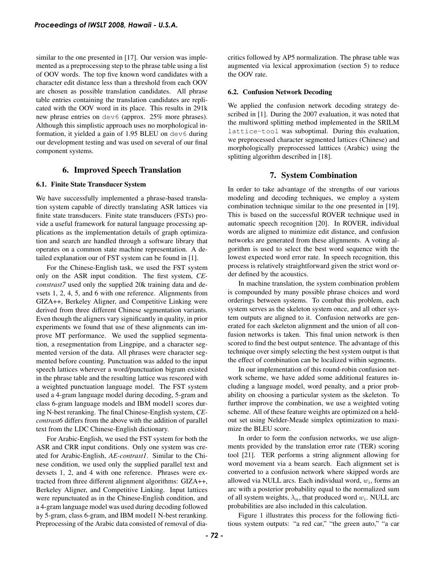similar to the one presented in [17]. Our version was implemented as a preprocessing step to the phrase table using a list of OOV words. The top five known word candidates with a character edit distance less than a threshold from each OOV are chosen as possible translation candidates. All phrase table entries containing the translation candidates are replicated with the OOV word in its place. This results in 291k new phrase entries on dev6 (approx. 25% more phrases). Although this simplistic approach uses no morphological information, it yielded a gain of 1.95 BLEU on dev6 during our development testing and was used on several of our final component systems.

## 6. Improved Speech Translation

### 6.1. Finite State Transducer System

We have successfully implemented a phrase-based translation system capable of directly translating ASR lattices via finite state transducers. Finite state transducers (FSTs) provide a useful framework for natural language processing applications as the implementation details of graph optimization and search are handled through a software library that operates on a common state machine representation. A detailed explanation our of FST system can be found in [1].

For the Chinese-English task, we used the FST system only on the ASR input condition. The first system, *CEconstrast7* used only the supplied 20k training data and devsets 1, 2, 4, 5, and 6 with one reference. Alignments from GIZA++, Berkeley Aligner, and Competitive Linking were derived from three different Chinese segmentation variants. Even though the aligners vary significantly in quality, in prior experiments we found that use of these alignments can improve MT performance. We used the supplied segmentation, a resegmentation from Lingpipe, and a character segmented version of the data. All phrases were character segmented before counting. Punctuation was added to the input speech lattices wherever a word/punctuation bigram existed in the phrase table and the resulting lattice was rescored with a weighted punctuation language model. The FST system used a 4-gram language model during decoding, 5-gram and class 6-gram language models and IBM model1 scores during N-best reranking. The final Chinese-English system, *CEcontrast6* differs from the above with the addition of parallel text from the LDC Chinese-English dictionary. **Proceedings of IWSLT 2008, Hawaii - U.S.A.**<br>
similar to the une presented in [17]. Our version was implemented as a preprocessing step to the phrase table using a list of OOV words. The top five known word candidates wit

For Arabic-English, we used the FST system for both the ASR and CRR input conditions. Only one system was created for Arabic-English, *AE-contrast1*. Similar to the Chinese condition, we used only the supplied parallel text and devsets 1, 2, and 4 with one reference. Phrases were extracted from three different alignment algorithms: GIZA++, Berkeley Aligner, and Competitive Linking. Input lattices were repunctuated as in the Chinese-English condition, and a 4-gram language model was used during decoding followed by 5-gram, class 6-gram, and IBM model1 N-best reranking. Preprocessing of the Arabic data consisted of removal of diacritics followed by AP5 normalization. The phrase table was augmented via lexical approximation (section 5) to reduce the OOV rate.

## 6.2. Confusion Network Decoding

We applied the confusion network decoding strategy described in [1]. During the 2007 evaluation, it was noted that the multiword splitting method implemented in the SRILM lattice-tool was suboptimal. During this evaluation, we preprocessed character segmented lattices (Chinese) and morphologically preprocessed latttices (Arabic) using the splitting algorithm described in [18].

## 7. System Combination

In order to take advantage of the strengths of our various modeling and decoding techniques, we employ a system combination technique similar to the one presented in [19]. This is based on the successful ROVER technique used in automatic speech recognition [20]. In ROVER, individual words are aligned to minimize edit distance, and confusion networks are generated from these alignments. A voting algorithm is used to select the best word sequence with the lowest expected word error rate. In speech recognition, this process is relatively straightforward given the strict word order defined by the acoustics.

In machine translation, the system combination problem is compounded by many possible phrase choices and word orderings between systems. To combat this problem, each system serves as the skeleton system once, and all other system outputs are aligned to it. Confusion networks are generated for each skeleton alignment and the union of all confusion networks is taken. This final union network is then scored to find the best output sentence. The advantage of this technique over simply selecting the best system output is that the effect of combination can be localized within segments.

In our implementation of this round-robin confusion network scheme, we have added some additional features including a language model, word penalty, and a prior probability on choosing a particular system as the skeleton. To further improve the combination, we use a weighted voting scheme. All of these feature weights are optimized on a heldout set using Nelder-Meade simplex optimization to maximize the BLEU score.

In order to form the confusion networks, we use alignments provided by the translation error rate (TER) scoring tool [21]. TER performs a string alignment allowing for word movement via a beam search. Each alignment set is converted to a confusion network where skipped words are allowed via NULL arcs. Each individual word,  $w_i$ , forms an arc with a posterior probability equal to the normalized sum of all system weights,  $\lambda_n$ , that produced word  $w_i$ . NULL arc probabilities are also included in this calculation.

Figure 1 illustrates this process for the following fictitious system outputs: "a red car," "the green auto," "a car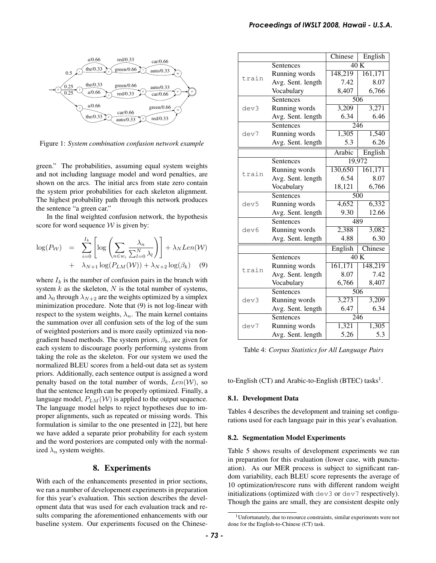

Figure 1: *System combination confusion network example*

green." The probabilities, assuming equal system weights and not including language model and word penalties, are shown on the arcs. The initial arcs from state zero contain the system prior probabilities for each skeleton alignment. The highest probability path through this network produces the sentence "a green car."

In the final weighted confusion network, the hypothesis score for word sequence  $W$  is given by:

$$
\log(P_{\mathcal{W}}) = \sum_{i=0}^{I_k} \left[ \log \left( \sum_{n \in w_i} \frac{\lambda_n}{\sum_{l=0}^N \lambda_l} \right) \right] + \lambda_N Len(\mathcal{W}) + \lambda_{N+1} \log(P_{LM}(\mathcal{W})) + \lambda_{N+2} \log(\beta_k)
$$
(9)

where  $I_k$  is the number of confusion pairs in the branch with system  $k$  as the skeleton,  $N$  is the total number of systems, and  $\lambda_0$  through  $\lambda_{N+2}$  are the weights optimized by a simplex minimization procedure. Note that (9) is not log-linear with respect to the system weights,  $\lambda_n$ . The main kernel contains the summation over all confusion sets of the log of the sum of weighted posteriors and is more easily optimized via nongradient based methods. The system priors,  $\beta_k$ , are given for each system to discourage poorly performing systems from taking the role as the skeleton. For our system we used the normalized BLEU scores from a held-out data set as system priors. Additionally, each sentence output is assigned a word penalty based on the total number of words,  $Len(\mathcal{W})$ , so that the sentence length can be properly optimized. Finally, a language model,  $P_{LM}(\mathcal{W})$  is applied to the output sequence. The language model helps to reject hypotheses due to improper alignments, such as repeated or missing words. This formulation is similar to the one presented in [22], but here we have added a separate prior probability for each system and the word posteriors are computed only with the normalized  $\lambda_n$  system weights.

### 8. Experiments

With each of the enhancements presented in prior sections, we ran a number of developement experiments in preparation for this year's evaluation. This section describes the development data that was used for each evaluation track and results comparing the aforementioned enhancements with our baseline system. Our experiments focused on the Chinese-

|                                                                                                                                                                                                                                                                                                                                                                                                                                                                                                                                                                                                                                                                                                                                                                                                                                                                                                                                                                                                                                                                                                                     |       |                                    | Chinese                                                                                                                                                                                                      | English |
|---------------------------------------------------------------------------------------------------------------------------------------------------------------------------------------------------------------------------------------------------------------------------------------------------------------------------------------------------------------------------------------------------------------------------------------------------------------------------------------------------------------------------------------------------------------------------------------------------------------------------------------------------------------------------------------------------------------------------------------------------------------------------------------------------------------------------------------------------------------------------------------------------------------------------------------------------------------------------------------------------------------------------------------------------------------------------------------------------------------------|-------|------------------------------------|--------------------------------------------------------------------------------------------------------------------------------------------------------------------------------------------------------------|---------|
|                                                                                                                                                                                                                                                                                                                                                                                                                                                                                                                                                                                                                                                                                                                                                                                                                                                                                                                                                                                                                                                                                                                     |       | Sentences                          | 40K                                                                                                                                                                                                          |         |
|                                                                                                                                                                                                                                                                                                                                                                                                                                                                                                                                                                                                                                                                                                                                                                                                                                                                                                                                                                                                                                                                                                                     |       | Running words                      | 148,219                                                                                                                                                                                                      | 161,171 |
|                                                                                                                                                                                                                                                                                                                                                                                                                                                                                                                                                                                                                                                                                                                                                                                                                                                                                                                                                                                                                                                                                                                     | train | Avg. Sent. length                  | 7.42                                                                                                                                                                                                         | 8.07    |
|                                                                                                                                                                                                                                                                                                                                                                                                                                                                                                                                                                                                                                                                                                                                                                                                                                                                                                                                                                                                                                                                                                                     |       | Vocabulary                         | 8,407                                                                                                                                                                                                        | 6,766   |
|                                                                                                                                                                                                                                                                                                                                                                                                                                                                                                                                                                                                                                                                                                                                                                                                                                                                                                                                                                                                                                                                                                                     |       | Sentences                          | 506                                                                                                                                                                                                          |         |
|                                                                                                                                                                                                                                                                                                                                                                                                                                                                                                                                                                                                                                                                                                                                                                                                                                                                                                                                                                                                                                                                                                                     | dev3  | Running words                      | 3,209                                                                                                                                                                                                        | 3,271   |
|                                                                                                                                                                                                                                                                                                                                                                                                                                                                                                                                                                                                                                                                                                                                                                                                                                                                                                                                                                                                                                                                                                                     |       | Avg. Sent. length                  | 6.34                                                                                                                                                                                                         | 6.46    |
|                                                                                                                                                                                                                                                                                                                                                                                                                                                                                                                                                                                                                                                                                                                                                                                                                                                                                                                                                                                                                                                                                                                     |       | Sentences                          | 246                                                                                                                                                                                                          |         |
|                                                                                                                                                                                                                                                                                                                                                                                                                                                                                                                                                                                                                                                                                                                                                                                                                                                                                                                                                                                                                                                                                                                     | dev7  | Running words                      | 1,305                                                                                                                                                                                                        | 1,540   |
|                                                                                                                                                                                                                                                                                                                                                                                                                                                                                                                                                                                                                                                                                                                                                                                                                                                                                                                                                                                                                                                                                                                     |       | Avg. Sent. length                  | 5.3                                                                                                                                                                                                          | 6.26    |
|                                                                                                                                                                                                                                                                                                                                                                                                                                                                                                                                                                                                                                                                                                                                                                                                                                                                                                                                                                                                                                                                                                                     |       |                                    | Arabic                                                                                                                                                                                                       | English |
|                                                                                                                                                                                                                                                                                                                                                                                                                                                                                                                                                                                                                                                                                                                                                                                                                                                                                                                                                                                                                                                                                                                     |       | Sentences                          | 19,972                                                                                                                                                                                                       |         |
|                                                                                                                                                                                                                                                                                                                                                                                                                                                                                                                                                                                                                                                                                                                                                                                                                                                                                                                                                                                                                                                                                                                     |       | Running words                      | 130,650                                                                                                                                                                                                      | 161,171 |
|                                                                                                                                                                                                                                                                                                                                                                                                                                                                                                                                                                                                                                                                                                                                                                                                                                                                                                                                                                                                                                                                                                                     | train | Avg. Sent. length                  | 6.54                                                                                                                                                                                                         | 8.07    |
|                                                                                                                                                                                                                                                                                                                                                                                                                                                                                                                                                                                                                                                                                                                                                                                                                                                                                                                                                                                                                                                                                                                     |       |                                    |                                                                                                                                                                                                              |         |
|                                                                                                                                                                                                                                                                                                                                                                                                                                                                                                                                                                                                                                                                                                                                                                                                                                                                                                                                                                                                                                                                                                                     |       | <b>Sentences</b>                   |                                                                                                                                                                                                              |         |
|                                                                                                                                                                                                                                                                                                                                                                                                                                                                                                                                                                                                                                                                                                                                                                                                                                                                                                                                                                                                                                                                                                                     |       |                                    |                                                                                                                                                                                                              |         |
|                                                                                                                                                                                                                                                                                                                                                                                                                                                                                                                                                                                                                                                                                                                                                                                                                                                                                                                                                                                                                                                                                                                     |       |                                    |                                                                                                                                                                                                              |         |
|                                                                                                                                                                                                                                                                                                                                                                                                                                                                                                                                                                                                                                                                                                                                                                                                                                                                                                                                                                                                                                                                                                                     |       |                                    |                                                                                                                                                                                                              |         |
|                                                                                                                                                                                                                                                                                                                                                                                                                                                                                                                                                                                                                                                                                                                                                                                                                                                                                                                                                                                                                                                                                                                     |       |                                    |                                                                                                                                                                                                              |         |
|                                                                                                                                                                                                                                                                                                                                                                                                                                                                                                                                                                                                                                                                                                                                                                                                                                                                                                                                                                                                                                                                                                                     |       |                                    | 4.88                                                                                                                                                                                                         |         |
|                                                                                                                                                                                                                                                                                                                                                                                                                                                                                                                                                                                                                                                                                                                                                                                                                                                                                                                                                                                                                                                                                                                     |       |                                    |                                                                                                                                                                                                              |         |
|                                                                                                                                                                                                                                                                                                                                                                                                                                                                                                                                                                                                                                                                                                                                                                                                                                                                                                                                                                                                                                                                                                                     |       |                                    |                                                                                                                                                                                                              |         |
|                                                                                                                                                                                                                                                                                                                                                                                                                                                                                                                                                                                                                                                                                                                                                                                                                                                                                                                                                                                                                                                                                                                     |       |                                    |                                                                                                                                                                                                              |         |
|                                                                                                                                                                                                                                                                                                                                                                                                                                                                                                                                                                                                                                                                                                                                                                                                                                                                                                                                                                                                                                                                                                                     | train |                                    | 8.07                                                                                                                                                                                                         |         |
|                                                                                                                                                                                                                                                                                                                                                                                                                                                                                                                                                                                                                                                                                                                                                                                                                                                                                                                                                                                                                                                                                                                     |       |                                    |                                                                                                                                                                                                              |         |
|                                                                                                                                                                                                                                                                                                                                                                                                                                                                                                                                                                                                                                                                                                                                                                                                                                                                                                                                                                                                                                                                                                                     |       | Sentences                          |                                                                                                                                                                                                              |         |
|                                                                                                                                                                                                                                                                                                                                                                                                                                                                                                                                                                                                                                                                                                                                                                                                                                                                                                                                                                                                                                                                                                                     |       |                                    |                                                                                                                                                                                                              |         |
|                                                                                                                                                                                                                                                                                                                                                                                                                                                                                                                                                                                                                                                                                                                                                                                                                                                                                                                                                                                                                                                                                                                     | dev3  |                                    |                                                                                                                                                                                                              |         |
|                                                                                                                                                                                                                                                                                                                                                                                                                                                                                                                                                                                                                                                                                                                                                                                                                                                                                                                                                                                                                                                                                                                     |       | Running words                      | 6.47                                                                                                                                                                                                         |         |
|                                                                                                                                                                                                                                                                                                                                                                                                                                                                                                                                                                                                                                                                                                                                                                                                                                                                                                                                                                                                                                                                                                                     |       | Avg. Sent. length<br>Sentences     |                                                                                                                                                                                                              |         |
|                                                                                                                                                                                                                                                                                                                                                                                                                                                                                                                                                                                                                                                                                                                                                                                                                                                                                                                                                                                                                                                                                                                     | dev7  |                                    |                                                                                                                                                                                                              |         |
|                                                                                                                                                                                                                                                                                                                                                                                                                                                                                                                                                                                                                                                                                                                                                                                                                                                                                                                                                                                                                                                                                                                     |       | Running words<br>Avg. Sent. length | 1,321<br>5.26                                                                                                                                                                                                |         |
|                                                                                                                                                                                                                                                                                                                                                                                                                                                                                                                                                                                                                                                                                                                                                                                                                                                                                                                                                                                                                                                                                                                     |       |                                    |                                                                                                                                                                                                              |         |
|                                                                                                                                                                                                                                                                                                                                                                                                                                                                                                                                                                                                                                                                                                                                                                                                                                                                                                                                                                                                                                                                                                                     |       |                                    |                                                                                                                                                                                                              |         |
|                                                                                                                                                                                                                                                                                                                                                                                                                                                                                                                                                                                                                                                                                                                                                                                                                                                                                                                                                                                                                                                                                                                     |       |                                    |                                                                                                                                                                                                              |         |
|                                                                                                                                                                                                                                                                                                                                                                                                                                                                                                                                                                                                                                                                                                                                                                                                                                                                                                                                                                                                                                                                                                                     |       |                                    |                                                                                                                                                                                                              |         |
|                                                                                                                                                                                                                                                                                                                                                                                                                                                                                                                                                                                                                                                                                                                                                                                                                                                                                                                                                                                                                                                                                                                     |       |                                    |                                                                                                                                                                                                              |         |
|                                                                                                                                                                                                                                                                                                                                                                                                                                                                                                                                                                                                                                                                                                                                                                                                                                                                                                                                                                                                                                                                                                                     |       |                                    | 500<br>4,652<br>6,332<br>12.66<br>9.30<br>489<br>2,388<br>3,082<br>6.30<br>Chinese<br>English<br>40K<br>148,219<br>161,171<br>7.42<br>6,766<br>8,407<br>506<br>3,273<br>3,209<br>6.34<br>246<br>1,305<br>5.3 |         |
|                                                                                                                                                                                                                                                                                                                                                                                                                                                                                                                                                                                                                                                                                                                                                                                                                                                                                                                                                                                                                                                                                                                     |       |                                    |                                                                                                                                                                                                              |         |
|                                                                                                                                                                                                                                                                                                                                                                                                                                                                                                                                                                                                                                                                                                                                                                                                                                                                                                                                                                                                                                                                                                                     |       |                                    |                                                                                                                                                                                                              |         |
| Vocabulary<br>18,121<br>6,766<br>Running words<br>dev5<br>Avg. Sent. length<br>Sentences<br>Running words<br>dev6<br>Avg. Sent. length<br>Sentences<br>Running words<br>Avg. Sent. length<br>Vocabulary<br>Table 4: Corpus Statistics for All Language Pairs<br>to-English (CT) and Arabic-to-English (BTEC) tasks <sup>1</sup> .<br>8.1. Development Data<br>Tables 4 describes the development and training set configured<br>rations used for each language pair in this year's evaluatio<br>8.2. Segmentation Model Experiments<br>Table 5 shows results of development experiments we r<br>in preparation for this evaluation (lower case, with punct<br>ation). As our MER process is subject to significant ra<br>dom variability, each BLEU score represents the average<br>10 optimization/rescore runs with different random weig<br>initializations (optimized with dev3 or dev7 respectivel)<br>Though the gains are small, they are consistent despite or<br><sup>1</sup> Unfortunately, due to resource constraints, similar experiments were<br>done for the English-to-Chinese (CT) task.<br>- 73 - |       |                                    |                                                                                                                                                                                                              |         |
|                                                                                                                                                                                                                                                                                                                                                                                                                                                                                                                                                                                                                                                                                                                                                                                                                                                                                                                                                                                                                                                                                                                     |       |                                    |                                                                                                                                                                                                              |         |
|                                                                                                                                                                                                                                                                                                                                                                                                                                                                                                                                                                                                                                                                                                                                                                                                                                                                                                                                                                                                                                                                                                                     |       |                                    |                                                                                                                                                                                                              |         |
|                                                                                                                                                                                                                                                                                                                                                                                                                                                                                                                                                                                                                                                                                                                                                                                                                                                                                                                                                                                                                                                                                                                     |       |                                    |                                                                                                                                                                                                              |         |

Table 4: *Corpus Statistics for All Language Pairs*

### 8.1. Development Data

#### 8.2. Segmentation Model Experiments

<sup>1</sup>Unfortunately, due to resource constraints, similar experiments were not done for the English-to-Chinese (CT) task.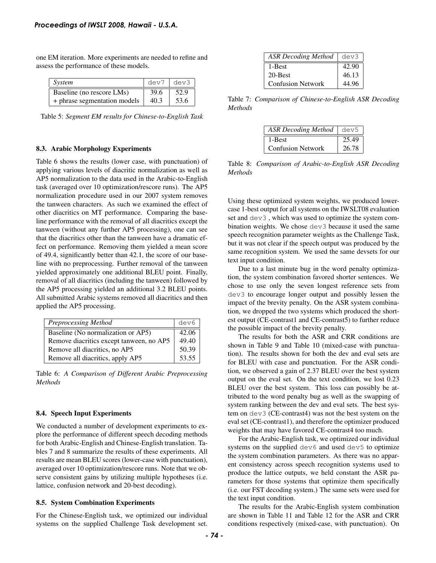one EM iteration. More experiments are needed to refine and assess the performance of these models.

| System                       | dev7 | dev3 |
|------------------------------|------|------|
| Baseline (no rescore LMs)    | 39.6 | 52.9 |
| + phrase segmentation models | 40.3 | 53.6 |

Table 5: *Segment EM results for Chinese-to-English Task*

#### 8.3. Arabic Morphology Experiments

Table 6 shows the results (lower case, with punctuation) of applying various levels of diacritic normalization as well as AP5 normalization to the data used in the Arabic-to-English task (averaged over 10 optimization/rescore runs). The AP5 normalization procedure used in our 2007 system removes the tanween characters. As such we examined the effect of other diacritics on MT performance. Comparing the baseline performance with the removal of all diacritics except the tanween (without any further AP5 processing), one can see that the diacritics other than the tanween have a dramatic effect on performance. Removing them yielded a mean score of 49.4, significantly better than 42.1, the score of our baseline with no preprocessing. Further removal of the tanween yielded approximately one additional BLEU point. Finally, removal of all diacritics (including the tanween) followed by the AP5 processing yielded an additional 3.2 BLEU points. All submitted Arabic systems removed all diacritics and then applied the AP5 processing. **Proceedings of IWSLT 2008, Hawaii - U.S.A.**<br>
one EM iteration. More experiments are needed to retine and<br>
assess the performance of these models.<br> **Algorithmetics** of the models and  $\frac{1}{2}$   $\frac{1}{2}$   $\frac{1}{2}$   $\frac{1}{2}$ 

| <b>Preprocessing Method</b>              | dev6  |
|------------------------------------------|-------|
| Baseline (No normalization or AP5)       | 42.06 |
| Remove diacritics except tanween, no AP5 | 49.40 |
| Remove all diacritics, no AP5            | 50.39 |
| Remove all diacritics, apply AP5         | 53.55 |

Table 6: *A Comparison of Different Arabic Preprocessing Methods*

#### 8.4. Speech Input Experiments

We conducted a number of development experiments to explore the performance of different speech decoding methods for both Arabic-English and Chinese-English translation. Tables 7 and 8 summarize the results of these experiments. All results are mean BLEU scores (lower-case with punctuation), averaged over 10 optimization/rescore runs. Note that we observe consistent gains by utilizing multiple hypotheses (i.e. lattice, confusion network and 20-best decoding).

#### 8.5. System Combination Experiments

For the Chinese-English task, we optimized our individual systems on the supplied Challenge Task development set.

| ASR Decoding Method      | dev3  |
|--------------------------|-------|
| 1-Best                   | 42.90 |
| 20-Best                  | 46.13 |
| <b>Confusion Network</b> | 44.96 |

Table 7: *Comparison of Chinese-to-English ASR Decoding Methods*

| ASR Decoding Method dev5 |       |
|--------------------------|-------|
| 1-Best                   | 25.49 |
| <b>Confusion Network</b> | 26.78 |

Table 8: *Comparison of Arabic-to-English ASR Decoding Methods*

Using these optimized system weights, we produced lowercase 1-best output for all systems on the IWSLT08 evaluation set and dev3 , which was used to optimize the system combination weights. We chose dev3 because it used the same speech recognition parameter weights as the Challenge Task, but it was not clear if the speech output was produced by the same recognition system. We used the same devsets for our text input condition.

Due to a last minute bug in the word penalty optimization, the system combination favored shorter sentences. We chose to use only the seven longest reference sets from dev3 to encourage longer output and possibly lessen the impact of the brevity penalty. On the ASR system combination, we dropped the two systems which produced the shortest output (CE-contrast1 and CE-contrast5) to further reduce the possible impact of the brevity penalty.

The results for both the ASR and CRR conditions are shown in Table 9 and Table 10 (mixed-case with punctuation). The results shown for both the dev and eval sets are for BLEU with case and punctuation. For the ASR condition, we observed a gain of 2.37 BLEU over the best system output on the eval set. On the text condition, we lost 0.23 BLEU over the best system. This loss can possibly be attributed to the word penalty bug as well as the swapping of system ranking between the dev and eval sets. The best system on dev3 (CE-contrast4) was not the best system on the eval set (CE-contrast1), and therefore the optimizer produced weights that may have favored CE-contrast4 too much.

For the Arabic-English task, we optimized our individual systems on the supplied dev6 and used dev5 to optimize the system combination parameters. As there was no apparent consistency across speech recognition systems used to produce the lattice outputs, we held constant the ASR parameters for those systems that optimize them specifically (i.e. our FST decoding system.) The same sets were used for the text input condition.

The results for the Arabic-English system combination are shown in Table 11 and Table 12 for the ASR and CRR conditions respectively (mixed-case, with punctuation). On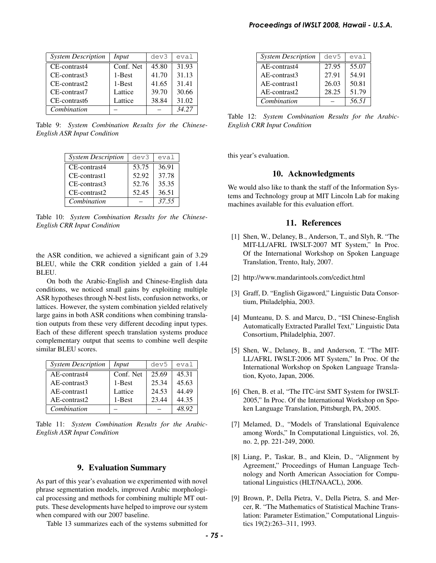| <b>System Description</b> | Input     | dev3  | eval  |
|---------------------------|-----------|-------|-------|
| CE-contrast4              | Conf. Net | 45.80 | 31.93 |
| CE-contrast3              | 1-Best    | 41.70 | 31.13 |
| CE-contrast2              | 1-Best    | 41.65 | 31.41 |
| CE-contrast7              | Lattice   | 39.70 | 30.66 |
| CE-contrast6              | Lattice   | 38.84 | 31.02 |
| Combination               |           |       | 34.27 |

Table 9: *System Combination Results for the Chinese-English ASR Input Condition*

| <b>System Description</b> | dev3  | eval  |
|---------------------------|-------|-------|
| CE-contrast4              | 53.75 | 36.91 |
| CE-contrast1              | 52.92 | 37.78 |
| CE-contrast3              | 52.76 | 35.35 |
| CE-contrast2              | 52.45 | 36.51 |
| Combination               |       | 37.55 |

Table 10: *System Combination Results for the Chinese-English CRR Input Condition*

the ASR condition, we achieved a significant gain of 3.29 BLEU, while the CRR condition yielded a gain of 1.44 BLEU.

On both the Arabic-English and Chinese-English data conditions, we noticed small gains by exploiting multiple ASR hypotheses through N-best lists, confusion networks, or lattices. However, the system combination yielded relatively large gains in both ASR conditions when combining translation outputs from these very different decoding input types. Each of these different speech translation systems produce complementary output that seems to combine well despite similar BLEU scores.

| <b>System Description</b> | Input     | dev5  | eval  |
|---------------------------|-----------|-------|-------|
| AE-contrast4              | Conf. Net | 25.69 | 45.31 |
| AE-contrast3              | 1-Best    | 25.34 | 45.63 |
| AE-contrast1              | Lattice   | 24.53 | 44.49 |
| AE-contrast2              | 1-Best    | 23.44 | 44.35 |
| Combination               |           |       | 48.92 |

Table 11: *System Combination Results for the Arabic-English ASR Input Condition*

#### 9. Evaluation Summary

As part of this year's evaluation we experimented with novel phrase segmentation models, improved Arabic morphological processing and methods for combining multiple MT outputs. These developments have helped to improve our system when compared with our 2007 baseline.

Table 13 summarizes each of the systems submitted for

|                                                                                                                                                                                              | <b>System Description</b>                                                                                                                                                                          | dev5                                                                                                                                              | eval           |  |
|----------------------------------------------------------------------------------------------------------------------------------------------------------------------------------------------|----------------------------------------------------------------------------------------------------------------------------------------------------------------------------------------------------|---------------------------------------------------------------------------------------------------------------------------------------------------|----------------|--|
|                                                                                                                                                                                              |                                                                                                                                                                                                    |                                                                                                                                                   |                |  |
|                                                                                                                                                                                              | AE-contrast4                                                                                                                                                                                       | 27.95                                                                                                                                             | 55.07          |  |
|                                                                                                                                                                                              | AE-contrast3<br>AE-contrast1                                                                                                                                                                       | 27.91<br>26.03                                                                                                                                    | 54.91<br>50.81 |  |
|                                                                                                                                                                                              | AE-contrast2                                                                                                                                                                                       | 28.25                                                                                                                                             | 51.79          |  |
|                                                                                                                                                                                              | Combination                                                                                                                                                                                        |                                                                                                                                                   | 56.51          |  |
|                                                                                                                                                                                              | Table 12: System Combination Results for the Arab<br><b>English CRR Input Condition</b>                                                                                                            |                                                                                                                                                   |                |  |
|                                                                                                                                                                                              | this year's evaluation.                                                                                                                                                                            |                                                                                                                                                   |                |  |
|                                                                                                                                                                                              | 10. Acknowledgments                                                                                                                                                                                |                                                                                                                                                   |                |  |
|                                                                                                                                                                                              | We would also like to thank the staff of the Information Sy<br>tems and Technology group at MIT Lincoln Lab for maki<br>machines available for this evaluation effort.                             |                                                                                                                                                   |                |  |
|                                                                                                                                                                                              | 11. References                                                                                                                                                                                     |                                                                                                                                                   |                |  |
| [1] Shen, W., Delaney, B., Anderson, T., and Slyh, R. "T<br>MIT-LL/AFRL IWSLT-2007 MT System," In Pro<br>Of the International Workshop on Spoken Langua<br>Translation, Trento, Italy, 2007. |                                                                                                                                                                                                    |                                                                                                                                                   |                |  |
|                                                                                                                                                                                              | [2] http://www.mandarintools.com/cedict.html                                                                                                                                                       |                                                                                                                                                   |                |  |
|                                                                                                                                                                                              | [3] Graff, D. "English Gigaword," Linguistic Data Conse<br>tium, Philadelphia, 2003.                                                                                                               |                                                                                                                                                   |                |  |
|                                                                                                                                                                                              |                                                                                                                                                                                                    | [4] Munteanu, D. S. and Marcu, D., "ISI Chinese-Engli<br>Automatically Extracted Parallel Text," Linguistic Da<br>Consortium, Philadelphia, 2007. |                |  |
|                                                                                                                                                                                              | [5] Shen, W., Delaney, B., and Anderson, T. "The MI<br>LL/AFRL IWSLT-2006 MT System," In Proc. Of t<br>International Workshop on Spoken Language Trans<br>tion, Kyoto, Japan, 2006.                |                                                                                                                                                   |                |  |
|                                                                                                                                                                                              | [6] Chen, B. et al, "The ITC-irst SMT System for IWSI<br>2005," In Proc. Of the International Workshop on Sp<br>ken Language Translation, Pittsburgh, PA, 2005.                                    |                                                                                                                                                   |                |  |
|                                                                                                                                                                                              | [7] Melamed, D., "Models of Translational Equivalen<br>among Words," In Computational Linguistics, vol. 2<br>no. 2, pp. 221-249, 2000.                                                             |                                                                                                                                                   |                |  |
|                                                                                                                                                                                              | [8] Liang, P., Taskar, B., and Klein, D., "Alignment<br>Agreement," Proceedings of Human Language Tec<br>nology and North American Association for Comp<br>tational Linguistics (HLT/NAACL), 2006. |                                                                                                                                                   |                |  |
|                                                                                                                                                                                              |                                                                                                                                                                                                    |                                                                                                                                                   |                |  |

Table 12: *System Combination Results for the Arabic-English CRR Input Condition*

### 10. Acknowledgments

## 11. References

- [1] Shen, W., Delaney, B., Anderson, T., and Slyh, R. "The MIT-LL/AFRL IWSLT-2007 MT System," In Proc. Of the International Workshop on Spoken Language Translation, Trento, Italy, 2007.
- [2] http://www.mandarintools.com/cedict.html
- [3] Graff, D. "English Gigaword," Linguistic Data Consortium, Philadelphia, 2003.
- [4] Munteanu, D. S. and Marcu, D., "ISI Chinese-English Automatically Extracted Parallel Text," Linguistic Data Consortium, Philadelphia, 2007.
- [5] Shen, W., Delaney, B., and Anderson, T. "The MIT-LL/AFRL IWSLT-2006 MT System," In Proc. Of the International Workshop on Spoken Language Translation, Kyoto, Japan, 2006.
- [6] Chen, B. et al, "The ITC-irst SMT System for IWSLT-2005," In Proc. Of the International Workshop on Spoken Language Translation, Pittsburgh, PA, 2005.
- [7] Melamed, D., "Models of Translational Equivalence among Words," In Computational Linguistics, vol. 26, no. 2, pp. 221-249, 2000.
- [8] Liang, P., Taskar, B., and Klein, D., "Alignment by Agreement," Proceedings of Human Language Technology and North American Association for Computational Linguistics (HLT/NAACL), 2006.
- [9] Brown, P., Della Pietra, V., Della Pietra, S. and Mercer, R. "The Mathematics of Statistical Machine Translation: Parameter Estimation," Computational Linguistics 19(2):263–311, 1993.